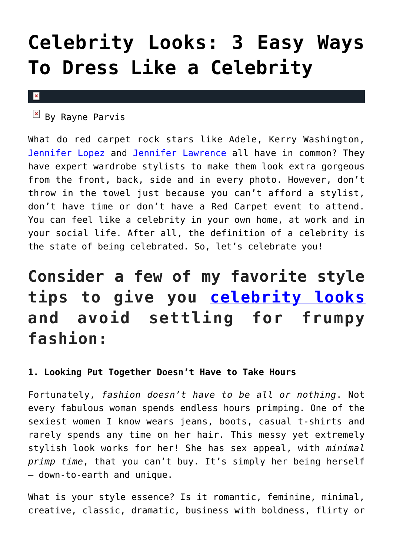# **[Celebrity Looks: 3 Easy Ways](https://cupidspulse.com/116999/celebrity-looks-easy-ways-dress-like-celebrity/) [To Dress Like a Celebrity](https://cupidspulse.com/116999/celebrity-looks-easy-ways-dress-like-celebrity/)**

#### $\mathbf x$

 $By$  Rayne Parvis

What do red carpet rock stars like Adele, Kerry Washington, [Jennifer Lopez](http://cupidspulse.com/86083/jennifer-lopez/) and [Jennifer Lawrence](http://cupidspulse.com/94269/jennifer-lawrence/) all have in common? They have expert wardrobe stylists to make them look extra gorgeous from the front, back, side and in every photo. However, don't throw in the towel just because you can't afford a stylist, don't have time or don't have a Red Carpet event to attend. You can feel like a celebrity in your own home, at work and in your social life. After all, the definition of a celebrity is the state of being celebrated. So, let's celebrate you!

## **Consider a few of my favorite style tips to give you [celebrity looks](http://cupidspulse.com/fashion/) and avoid settling for frumpy fashion:**

#### **1. Looking Put Together Doesn't Have to Take Hours**

Fortunately, *fashion doesn't have to be all or nothing*. Not every fabulous woman spends endless hours primping. One of the sexiest women I know wears jeans, boots, casual t-shirts and rarely spends any time on her hair. This messy yet extremely stylish look works for her! She has sex appeal, with *minimal primp time*, that you can't buy. It's simply her being herself – down-to-earth and unique.

What is your style essence? Is it romantic, feminine, minimal, creative, classic, dramatic, business with boldness, flirty or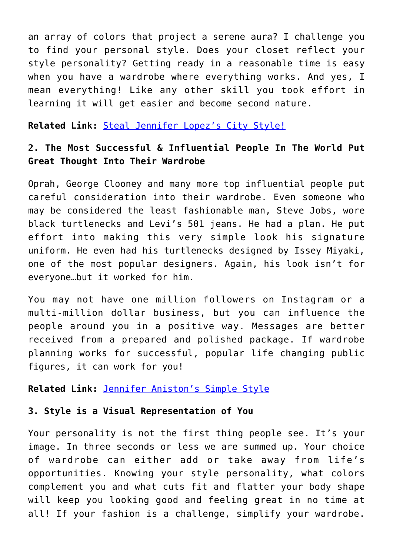an array of colors that project a serene aura? I challenge you to find your personal style. Does your closet reflect your style personality? Getting ready in a reasonable time is easy when you have a wardrobe where everything works. And yes, I mean everything! Like any other skill you took effort in learning it will get easier and become second nature.

**Related Link:** [Steal Jennifer Lopez's City Style!](http://cupidspulse.com/28459/steal-jennifer-lopez-city-style-fashion-date-outfit/)

### **2. The Most Successful & Influential People In The World Put Great Thought Into Their Wardrobe**

Oprah, George Clooney and many more top influential people put careful consideration into their wardrobe. Even someone who may be considered the least fashionable man, Steve Jobs, wore black turtlenecks and Levi's 501 jeans. He had a plan. He put effort into making this very simple look his signature uniform. He even had his turtlenecks designed by Issey Miyaki, one of the most popular designers. Again, his look isn't for everyone…but it worked for him.

You may not have one million followers on Instagram or a multi-million dollar business, but you can influence the people around you in a positive way. Messages are better received from a prepared and polished package. If wardrobe planning works for successful, popular life changing public figures, it can work for you!

#### **Related Link:** [Jennifer Aniston's Simple Style](http://cupidspulse.com/33224/jennifer-anistons-simple-style-get-the-look-ann-csincsak/)

#### **3. Style is a Visual Representation of You**

Your personality is not the first thing people see. It's your image. In three seconds or less we are summed up. Your choice of wardrobe can either add or take away from life's opportunities. Knowing your style personality, what colors complement you and what cuts fit and flatter your body shape will keep you looking good and feeling great in no time at all! If your fashion is a challenge, simplify your wardrobe.